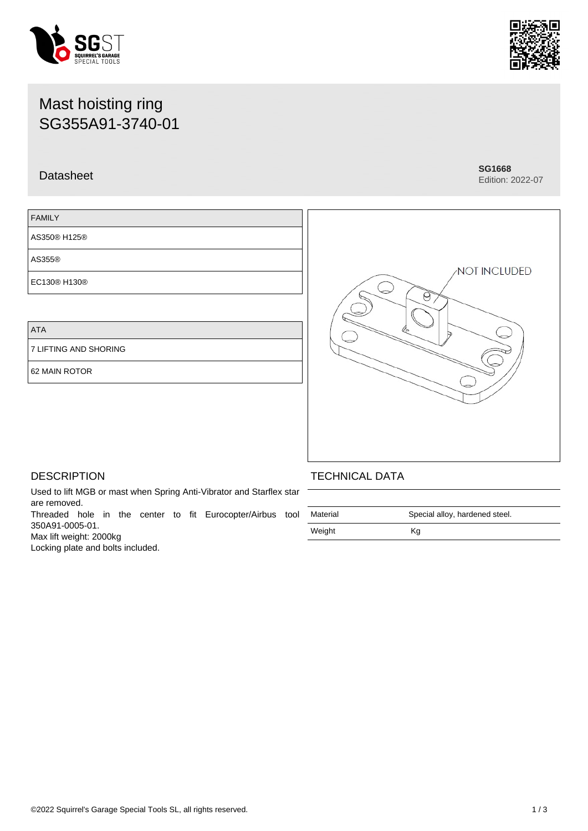# Mast hoisting ring SG355A91-3740-01

## Datasheet **SG1668**

FAMILY

AS355®

AS350® H125®

EC130® H130®

# ATA

7 LIFTING AND SHORING

62 MAIN ROTOR



Threaded hole in the center to fit Eurocopter/Airbus tool 350A91-0005-01.

Max lift weight: 2000kg

Locking plate and bolts included.

## TECHNICAL DATA

| Material | Special alloy, hardened steel. |  |
|----------|--------------------------------|--|
| Weight   | Κq                             |  |

е





NOT INCLUDED

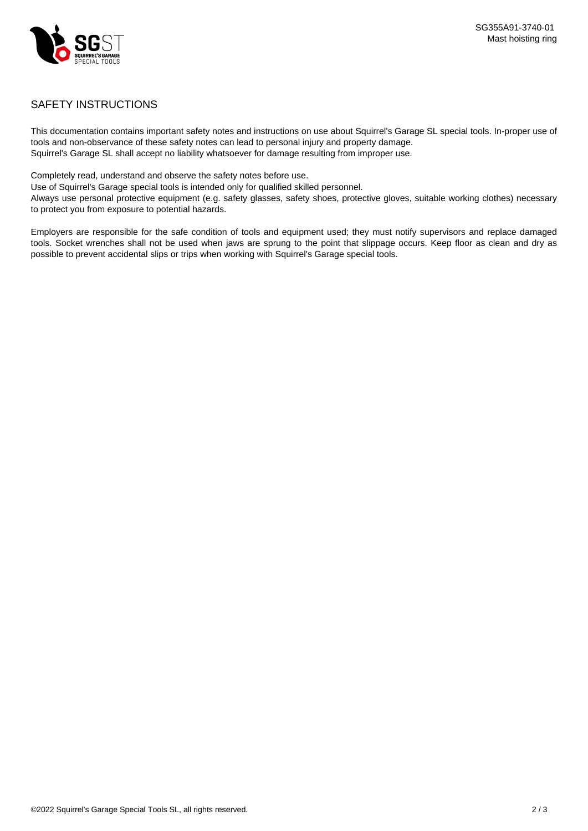

## SAFETY INSTRUCTIONS

This documentation contains important safety notes and instructions on use about Squirrel's Garage SL special tools. In-proper use of tools and non-observance of these safety notes can lead to personal injury and property damage. Squirrel's Garage SL shall accept no liability whatsoever for damage resulting from improper use.

Completely read, understand and observe the safety notes before use.

Use of Squirrel's Garage special tools is intended only for qualified skilled personnel.

Always use personal protective equipment (e.g. safety glasses, safety shoes, protective gloves, suitable working clothes) necessary to protect you from exposure to potential hazards.

Employers are responsible for the safe condition of tools and equipment used; they must notify supervisors and replace damaged tools. Socket wrenches shall not be used when jaws are sprung to the point that slippage occurs. Keep floor as clean and dry as possible to prevent accidental slips or trips when working with Squirrel's Garage special tools.